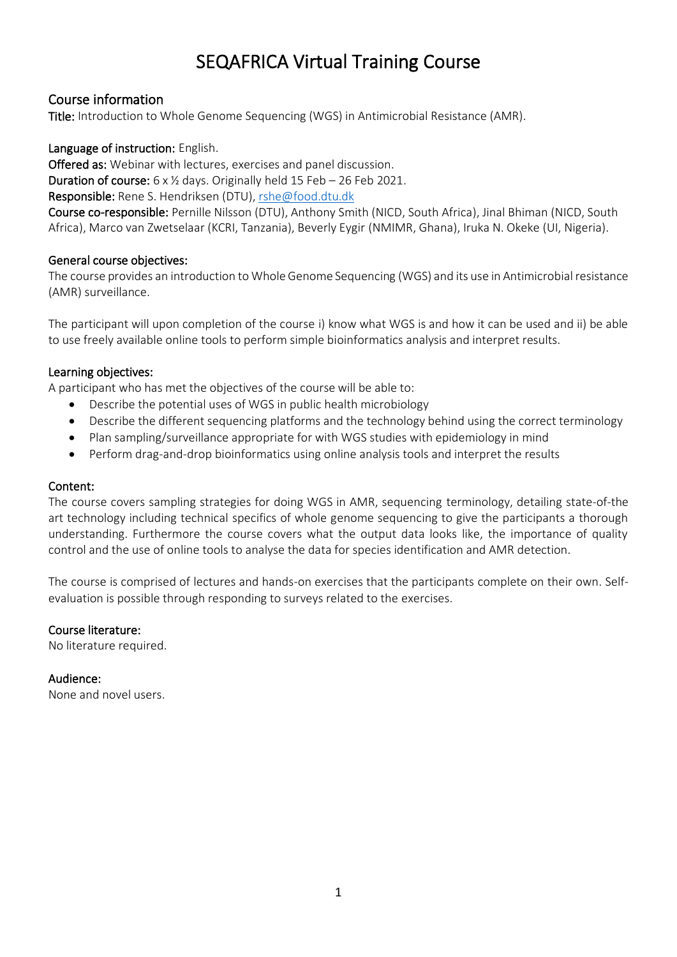# SEQAFRICA Virtual Training Course

# Course information

Title: Introduction to Whole Genome Sequencing (WGS) in Antimicrobial Resistance (AMR).

#### Language of instruction: English.

Offered as: Webinar with lectures, exercises and panel discussion. Duration of course: 6 x ½ days. Originally held 15 Feb – 26 Feb 2021.

Responsible: Rene S. Hendriksen (DTU), [rshe@food.dtu.dk](mailto:rshe@food.dtu.dk)

Course co-responsible: Pernille Nilsson (DTU), Anthony Smith (NICD, South Africa), Jinal Bhiman (NICD, South Africa), Marco van Zwetselaar (KCRI, Tanzania), Beverly Eygir (NMIMR, Ghana), Iruka N. Okeke (UI, Nigeria).

### General course objectives:

The course provides an introduction to Whole Genome Sequencing (WGS) and its use in Antimicrobial resistance (AMR) surveillance.

The participant will upon completion of the course i) know what WGS is and how it can be used and ii) be able to use freely available online tools to perform simple bioinformatics analysis and interpret results.

### Learning objectives:

A participant who has met the objectives of the course will be able to:

- Describe the potential uses of WGS in public health microbiology
- Describe the different sequencing platforms and the technology behind using the correct terminology
- Plan sampling/surveillance appropriate for with WGS studies with epidemiology in mind
- Perform drag-and-drop bioinformatics using online analysis tools and interpret the results

## Content:

The course covers sampling strategies for doing WGS in AMR, sequencing terminology, detailing state-of-the art technology including technical specifics of whole genome sequencing to give the participants a thorough understanding. Furthermore the course covers what the output data looks like, the importance of quality control and the use of online tools to analyse the data for species identification and AMR detection.

The course is comprised of lectures and hands-on exercises that the participants complete on their own. Selfevaluation is possible through responding to surveys related to the exercises.

#### Course literature:

No literature required.

# Audience:

None and novel users.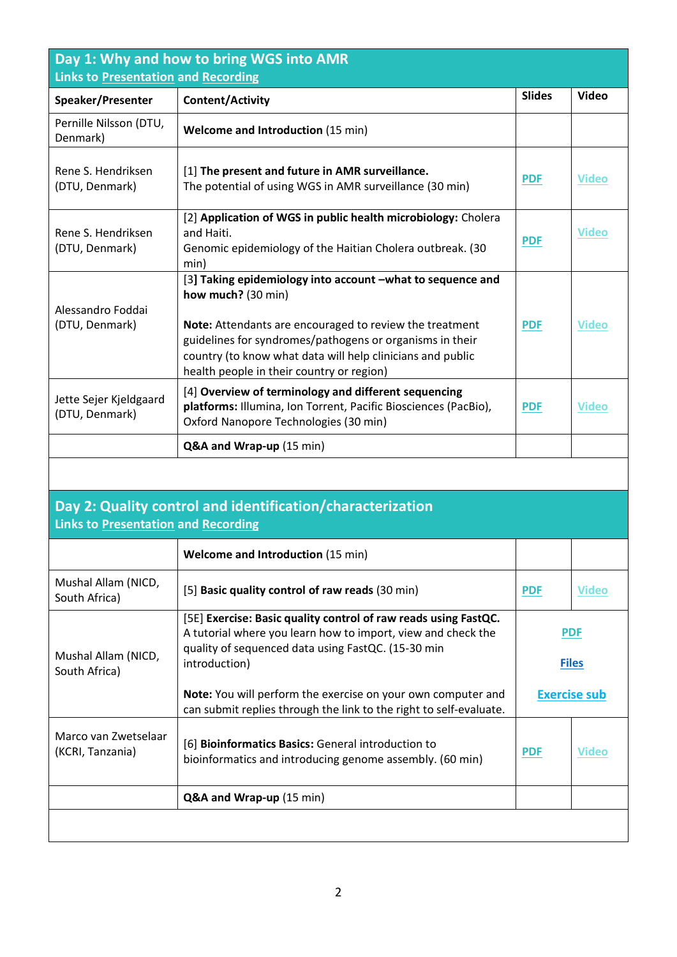| Day 1: Why and how to bring WGS into AMR<br>Links to Presentation and Recording                          |                                                                                                                                                                                                                                                                                                                    |                            |              |  |  |
|----------------------------------------------------------------------------------------------------------|--------------------------------------------------------------------------------------------------------------------------------------------------------------------------------------------------------------------------------------------------------------------------------------------------------------------|----------------------------|--------------|--|--|
| Speaker/Presenter                                                                                        | <b>Content/Activity</b>                                                                                                                                                                                                                                                                                            | <b>Slides</b>              | <b>Video</b> |  |  |
| Pernille Nilsson (DTU,<br>Denmark)                                                                       | <b>Welcome and Introduction (15 min)</b>                                                                                                                                                                                                                                                                           |                            |              |  |  |
| Rene S. Hendriksen<br>(DTU, Denmark)                                                                     | [1] The present and future in AMR surveillance.<br>The potential of using WGS in AMR surveillance (30 min)                                                                                                                                                                                                         | <b>PDF</b>                 | <b>Video</b> |  |  |
| Rene S. Hendriksen<br>(DTU, Denmark)                                                                     | [2] Application of WGS in public health microbiology: Cholera<br>and Haiti.<br>Genomic epidemiology of the Haitian Cholera outbreak. (30<br>min)                                                                                                                                                                   | <b>PDF</b>                 | <b>Video</b> |  |  |
| Alessandro Foddai<br>(DTU, Denmark)                                                                      | [3] Taking epidemiology into account -what to sequence and<br>how much? (30 min)<br>Note: Attendants are encouraged to review the treatment<br>guidelines for syndromes/pathogens or organisms in their<br>country (to know what data will help clinicians and public<br>health people in their country or region) | <b>PDF</b>                 | <b>Video</b> |  |  |
| Jette Sejer Kjeldgaard<br>(DTU, Denmark)                                                                 | [4] Overview of terminology and different sequencing<br>platforms: Illumina, Ion Torrent, Pacific Biosciences (PacBio),<br>Oxford Nanopore Technologies (30 min)                                                                                                                                                   | <b>PDF</b>                 | <b>Video</b> |  |  |
|                                                                                                          | Q&A and Wrap-up (15 min)                                                                                                                                                                                                                                                                                           |                            |              |  |  |
|                                                                                                          |                                                                                                                                                                                                                                                                                                                    |                            |              |  |  |
| Day 2: Quality control and identification/characterization<br><b>Links to Presentation and Recording</b> |                                                                                                                                                                                                                                                                                                                    |                            |              |  |  |
|                                                                                                          | <b>Welcome and Introduction (15 min)</b>                                                                                                                                                                                                                                                                           |                            |              |  |  |
| Mushal Allam (NICD,<br>South Africa)                                                                     | [5] Basic quality control of raw reads (30 min)                                                                                                                                                                                                                                                                    | <b>PDF</b>                 | <b>Video</b> |  |  |
| Mushal Allam (NICD,<br>South Africa)                                                                     | [5E] Exercise: Basic quality control of raw reads using FastQC.<br>A tutorial where you learn how to import, view and check the<br>quality of sequenced data using FastQC. (15-30 min<br>introduction)<br>Note: You will perform the exercise on your own computer and                                             | <b>PDF</b><br><b>Files</b> |              |  |  |
|                                                                                                          | can submit replies through the link to the right to self-evaluate.                                                                                                                                                                                                                                                 | <b>Exercise sub</b>        |              |  |  |
| Marco van Zwetselaar<br>(KCRI, Tanzania)                                                                 | [6] Bioinformatics Basics: General introduction to<br>bioinformatics and introducing genome assembly. (60 min)                                                                                                                                                                                                     | <b>PDF</b>                 | <b>Video</b> |  |  |
|                                                                                                          | Q&A and Wrap-up (15 min)                                                                                                                                                                                                                                                                                           |                            |              |  |  |
|                                                                                                          |                                                                                                                                                                                                                                                                                                                    |                            |              |  |  |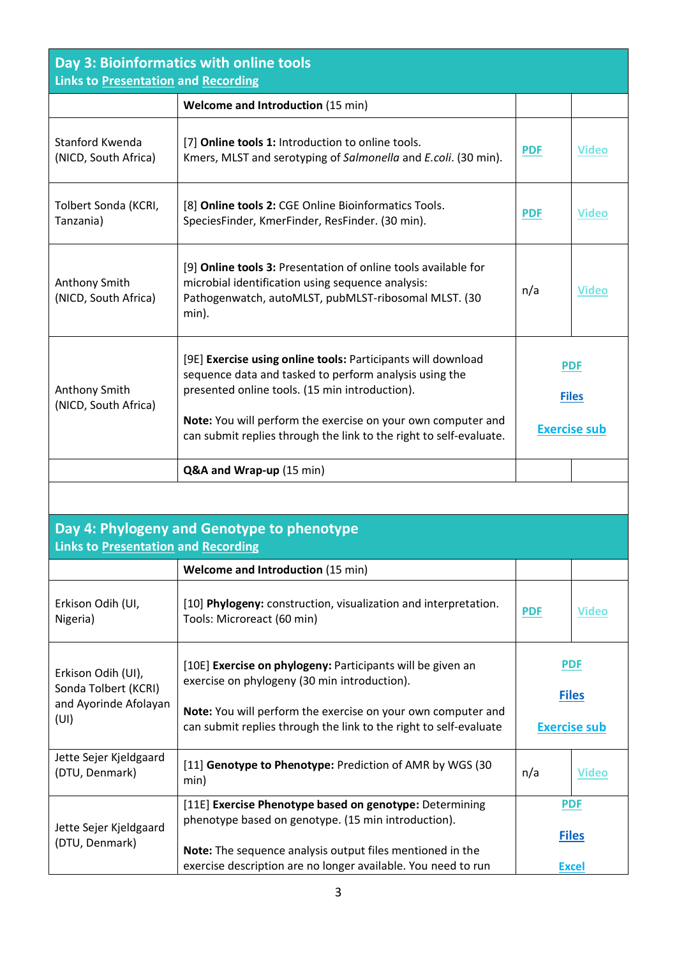| Day 3: Bioinformatics with online tools<br><b>Links to Presentation and Recording</b> |                                                                                                                                                                                                                                          |                                                   |              |  |  |  |  |
|---------------------------------------------------------------------------------------|------------------------------------------------------------------------------------------------------------------------------------------------------------------------------------------------------------------------------------------|---------------------------------------------------|--------------|--|--|--|--|
|                                                                                       | <b>Welcome and Introduction (15 min)</b>                                                                                                                                                                                                 |                                                   |              |  |  |  |  |
| Stanford Kwenda<br>(NICD, South Africa)                                               | [7] Online tools 1: Introduction to online tools.<br>Kmers, MLST and serotyping of Salmonella and E.coli. (30 min).                                                                                                                      | <b>PDF</b>                                        | <b>Video</b> |  |  |  |  |
| Tolbert Sonda (KCRI,<br>Tanzania)                                                     | [8] Online tools 2: CGE Online Bioinformatics Tools.<br>SpeciesFinder, KmerFinder, ResFinder. (30 min).                                                                                                                                  | <b>PDF</b>                                        | <b>Video</b> |  |  |  |  |
| Anthony Smith<br>(NICD, South Africa)                                                 | [9] Online tools 3: Presentation of online tools available for<br>microbial identification using sequence analysis:<br>Pathogenwatch, autoMLST, pubMLST-ribosomal MLST. (30<br>min).                                                     | n/a                                               | <b>Video</b> |  |  |  |  |
| Anthony Smith<br>(NICD, South Africa)                                                 | [9E] Exercise using online tools: Participants will download<br>sequence data and tasked to perform analysis using the<br>presented online tools. (15 min introduction).<br>Note: You will perform the exercise on your own computer and | <b>PDF</b><br><b>Files</b><br><b>Exercise sub</b> |              |  |  |  |  |
|                                                                                       | can submit replies through the link to the right to self-evaluate.                                                                                                                                                                       |                                                   |              |  |  |  |  |
|                                                                                       | Q&A and Wrap-up (15 min)                                                                                                                                                                                                                 |                                                   |              |  |  |  |  |
|                                                                                       |                                                                                                                                                                                                                                          |                                                   |              |  |  |  |  |
| <b>Links to Presentation and Recording</b>                                            | Day 4: Phylogeny and Genotype to phenotype                                                                                                                                                                                               |                                                   |              |  |  |  |  |
|                                                                                       | <b>Welcome and Introduction (15 min)</b>                                                                                                                                                                                                 |                                                   |              |  |  |  |  |
| Erkison Odih (UI,<br>Nigeria)                                                         | [10] Phylogeny: construction, visualization and interpretation.<br>Tools: Microreact (60 min)                                                                                                                                            | <b>PDF</b>                                        | <b>Video</b> |  |  |  |  |
| Erkison Odih (UI),<br>Sonda Tolbert (KCRI)<br>and Ayorinde Afolayan<br>(UI)           | [10E] Exercise on phylogeny: Participants will be given an<br>exercise on phylogeny (30 min introduction).                                                                                                                               | <b>PDF</b><br><b>Files</b>                        |              |  |  |  |  |
|                                                                                       | Note: You will perform the exercise on your own computer and<br>can submit replies through the link to the right to self-evaluate                                                                                                        | <b>Exercise sub</b>                               |              |  |  |  |  |
| Jette Sejer Kjeldgaard<br>(DTU, Denmark)                                              | [11] Genotype to Phenotype: Prediction of AMR by WGS (30<br>min)                                                                                                                                                                         | n/a                                               | <b>Video</b> |  |  |  |  |
|                                                                                       | [11E] Exercise Phenotype based on genotype: Determining                                                                                                                                                                                  |                                                   | <b>PDF</b>   |  |  |  |  |

**[Files](https://www.jottacloud.com/s/25906df4815b8574d6babaeb29e23953ba3)**

**[Excel](https://antimicrobialresistance-dk.danaweb5.com/CustomerData/Files/Folders/13-seqafrica-course-pdfs/193_open-access-resources-for-in-silico-antimicrobial-resistance-detection-in-bacteria.xlsx)**

**Note:** The sequence analysis output files mentioned in the

phenotype based on genotype. (15 min introduction).

Jette Sejer Kjeldgaard (DTU, Denmark)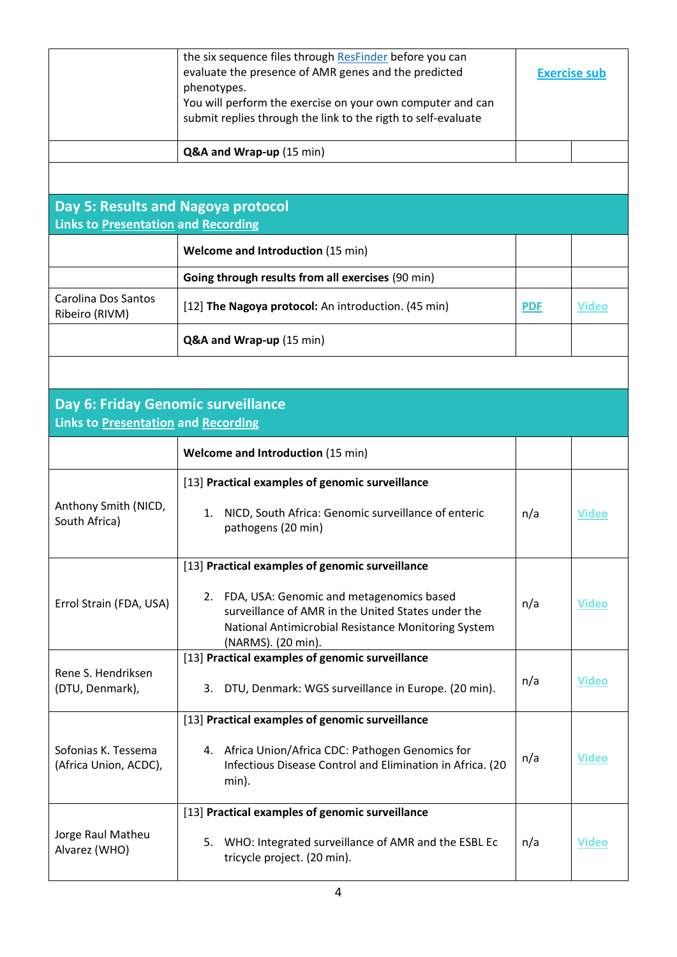|                                                                                  | the six sequence files through ResFinder before you can<br>evaluate the presence of AMR genes and the predicted<br>phenotypes.<br>You will perform the exercise on your own computer and can<br>submit replies through the link to the rigth to self-evaluate | <b>Exercise sub</b> |              |
|----------------------------------------------------------------------------------|---------------------------------------------------------------------------------------------------------------------------------------------------------------------------------------------------------------------------------------------------------------|---------------------|--------------|
|                                                                                  | Q&A and Wrap-up (15 min)                                                                                                                                                                                                                                      |                     |              |
|                                                                                  |                                                                                                                                                                                                                                                               |                     |              |
| Day 5: Results and Nagoya protocol                                               |                                                                                                                                                                                                                                                               |                     |              |
| Links to Presentation and Recording                                              |                                                                                                                                                                                                                                                               |                     |              |
|                                                                                  | <b>Welcome and Introduction (15 min)</b>                                                                                                                                                                                                                      |                     |              |
|                                                                                  | Going through results from all exercises (90 min)                                                                                                                                                                                                             |                     |              |
| Carolina Dos Santos<br>Ribeiro (RIVM)                                            | [12] The Nagoya protocol: An introduction. (45 min)                                                                                                                                                                                                           | <b>PDF</b>          | <b>Video</b> |
|                                                                                  | Q&A and Wrap-up (15 min)                                                                                                                                                                                                                                      |                     |              |
|                                                                                  |                                                                                                                                                                                                                                                               |                     |              |
| Day 6: Friday Genomic surveillance<br><b>Links to Presentation and Recording</b> |                                                                                                                                                                                                                                                               |                     |              |
|                                                                                  | <b>Welcome and Introduction (15 min)</b>                                                                                                                                                                                                                      |                     |              |
|                                                                                  | [13] Practical examples of genomic surveillance                                                                                                                                                                                                               |                     |              |
| Anthony Smith (NICD,<br>South Africa)                                            | NICD, South Africa: Genomic surveillance of enteric<br>1.<br>pathogens (20 min)                                                                                                                                                                               | n/a                 | <b>Video</b> |
|                                                                                  | [13] Practical examples of genomic surveillance                                                                                                                                                                                                               |                     |              |
| Errol Strain (FDA, USA)                                                          | 2. FDA, USA: Genomic and metagenomics based<br>surveillance of AMR in the United States under the<br>National Antimicrobial Resistance Monitoring System<br>(NARMS). (20 min).                                                                                | n/a                 | <b>Video</b> |
|                                                                                  | [13] Practical examples of genomic surveillance                                                                                                                                                                                                               |                     |              |
| Rene S. Hendriksen<br>(DTU, Denmark),                                            | DTU, Denmark: WGS surveillance in Europe. (20 min).<br>3.                                                                                                                                                                                                     | n/a                 | <b>Video</b> |
|                                                                                  | [13] Practical examples of genomic surveillance                                                                                                                                                                                                               |                     |              |
| Sofonias K. Tessema<br>(Africa Union, ACDC),                                     | 4. Africa Union/Africa CDC: Pathogen Genomics for<br>Infectious Disease Control and Elimination in Africa. (20<br>min).                                                                                                                                       | n/a                 | <b>Video</b> |
|                                                                                  | [13] Practical examples of genomic surveillance                                                                                                                                                                                                               |                     |              |
| Jorge Raul Matheu<br>Alvarez (WHO)                                               | WHO: Integrated surveillance of AMR and the ESBL Ec<br>5.<br>tricycle project. (20 min).                                                                                                                                                                      | n/a                 | <b>Video</b> |